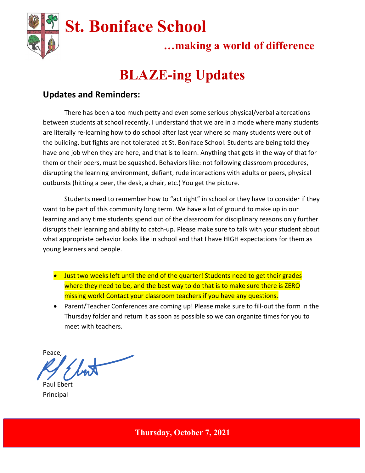

## …making a world of difference

# BLAZE-ing Updates

### Updates and Reminders:

There has been a too much petty and even some serious physical/verbal altercations between students at school recently. I understand that we are in a mode where many students are literally re-learning how to do school after last year where so many students were out of the building, but fights are not tolerated at St. Boniface School. Students are being told they have one job when they are here, and that is to learn. Anything that gets in the way of that for them or their peers, must be squashed. Behaviors like: not following classroom procedures, disrupting the learning environment, defiant, rude interactions with adults or peers, physical outbursts (hitting a peer, the desk, a chair, etc.) You get the picture.

Students need to remember how to "act right" in school or they have to consider if they want to be part of this community long term. We have a lot of ground to make up in our learning and any time students spend out of the classroom for disciplinary reasons only further disrupts their learning and ability to catch-up. Please make sure to talk with your student about what appropriate behavior looks like in school and that I have HIGH expectations for them as young learners and people.

- **•** Just two weeks left until the end of the quarter! Students need to get their grades where they need to be, and the best way to do that is to make sure there is ZERO missing work! Contact your classroom teachers if you have any questions.
- Parent/Teacher Conferences are coming up! Please make sure to fill-out the form in the Thursday folder and return it as soon as possible so we can organize times for you to meet with teachers.

Peace,

Paul Ebert Principal